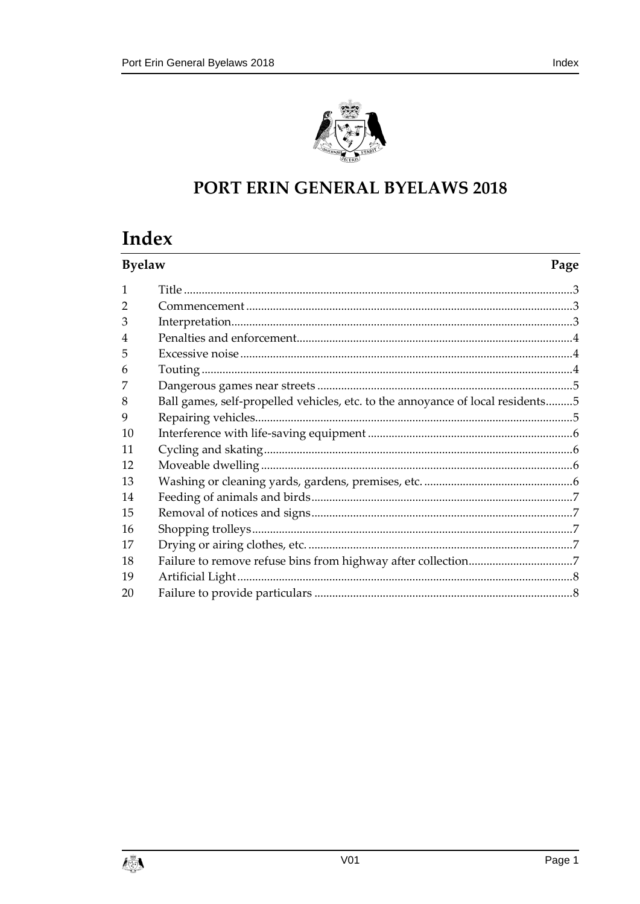

## PORT ERIN GENERAL BYELAWS 2018

# Index

| <b>Byelaw</b>  |                                                                                | Page |
|----------------|--------------------------------------------------------------------------------|------|
| $\mathbf{1}$   |                                                                                |      |
| 2              |                                                                                |      |
| 3              |                                                                                |      |
| $\overline{4}$ |                                                                                |      |
| 5              |                                                                                |      |
| 6              |                                                                                |      |
|                |                                                                                |      |
| 8              | Ball games, self-propelled vehicles, etc. to the annoyance of local residents5 |      |
| 9              |                                                                                |      |
| 10             |                                                                                |      |
| 11             |                                                                                |      |
| 12             |                                                                                |      |
| 13             |                                                                                |      |
| 14             |                                                                                |      |
| 15             |                                                                                |      |
| 16             |                                                                                |      |
| 17             |                                                                                |      |
| 18             |                                                                                |      |
| 19             |                                                                                |      |
| 20             |                                                                                |      |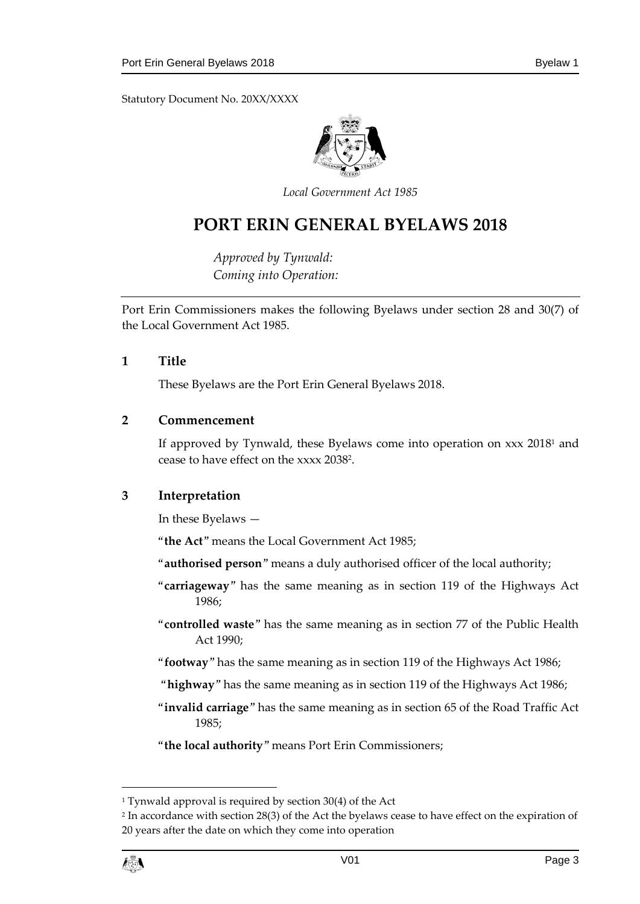Statutory Document No. 20XX/XXXX



*Local Government Act 1985*

## **PORT ERIN GENERAL BYELAWS 2018**

*Approved by Tynwald: Coming into Operation:*

Port Erin Commissioners makes the following Byelaws under section 28 and 30(7) of the Local Government Act 1985.

#### <span id="page-2-0"></span>**1 Title**

These Byelaws are the Port Erin General Byelaws 2018.

#### <span id="page-2-1"></span>**2 Commencement**

If approved by Tynwald, these Byelaws come into operation on  $xxx$  2018<sup>1</sup> and cease to have effect on the xxxx 2038<sup>2</sup> .

#### <span id="page-2-2"></span>**3 Interpretation**

In these Byelaws —

"**the Act**" means the Local Government Act 1985;

"**authorised person**" means a duly authorised officer of the local authority;

- "**carriageway**" has the same meaning as in section 119 of the Highways Act 1986;
- "**controlled waste**" has the same meaning as in section 77 of the Public Health Act 1990;
- "**footway**" has the same meaning as in section 119 of the Highways Act 1986;
- "**highway**" has the same meaning as in section 119 of the Highways Act 1986;
- "**invalid carriage**" has the same meaning as in section 65 of the Road Traffic Act 1985;

"**the local authority**" means Port Erin Commissioners;

<sup>2</sup> In accordance with section 28(3) of the Act the byelaws cease to have effect on the expiration of 20 years after the date on which they come into operation



1

<sup>&</sup>lt;sup>1</sup> Tynwald approval is required by section 30(4) of the Act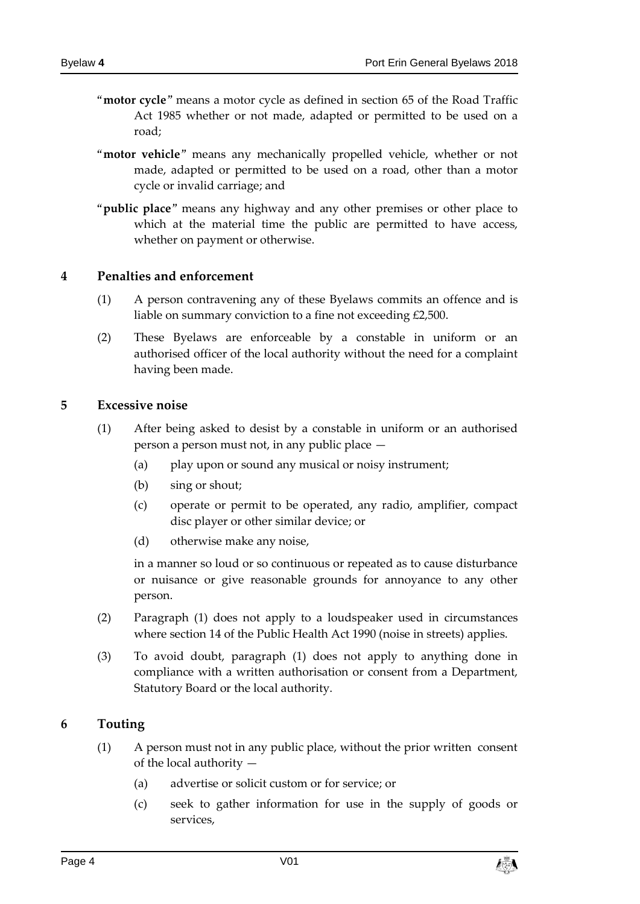- "**motor cycle**" means a motor cycle as defined in section 65 of the Road Traffic Act 1985 whether or not made, adapted or permitted to be used on a road;
- "**motor vehicle**" means any mechanically propelled vehicle, whether or not made, adapted or permitted to be used on a road, other than a motor cycle or invalid carriage; and
- "**public place**" means any highway and any other premises or other place to which at the material time the public are permitted to have access, whether on payment or otherwise.

#### <span id="page-3-0"></span>**4 Penalties and enforcement**

- (1) A person contravening any of these Byelaws commits an offence and is liable on summary conviction to a fine not exceeding £2,500.
- (2) These Byelaws are enforceable by a constable in uniform or an authorised officer of the local authority without the need for a complaint having been made.

#### <span id="page-3-1"></span>**5 Excessive noise**

- (1) After being asked to desist by a constable in uniform or an authorised person a person must not, in any public place —
	- (a) play upon or sound any musical or noisy instrument;
	- (b) sing or shout;
	- (c) operate or permit to be operated, any radio, amplifier, compact disc player or other similar device; or
	- (d) otherwise make any noise,

in a manner so loud or so continuous or repeated as to cause disturbance or nuisance or give reasonable grounds for annoyance to any other person.

- (2) Paragraph (1) does not apply to a loudspeaker used in circumstances where section 14 of the Public Health Act 1990 (noise in streets) applies.
- (3) To avoid doubt, paragraph (1) does not apply to anything done in compliance with a written authorisation or consent from a Department, Statutory Board or the local authority.

#### <span id="page-3-2"></span>**6 Touting**

- (1) A person must not in any public place, without the prior written consent of the local authority —
	- (a) advertise or solicit custom or for service; or
	- (c) seek to gather information for use in the supply of goods or services,

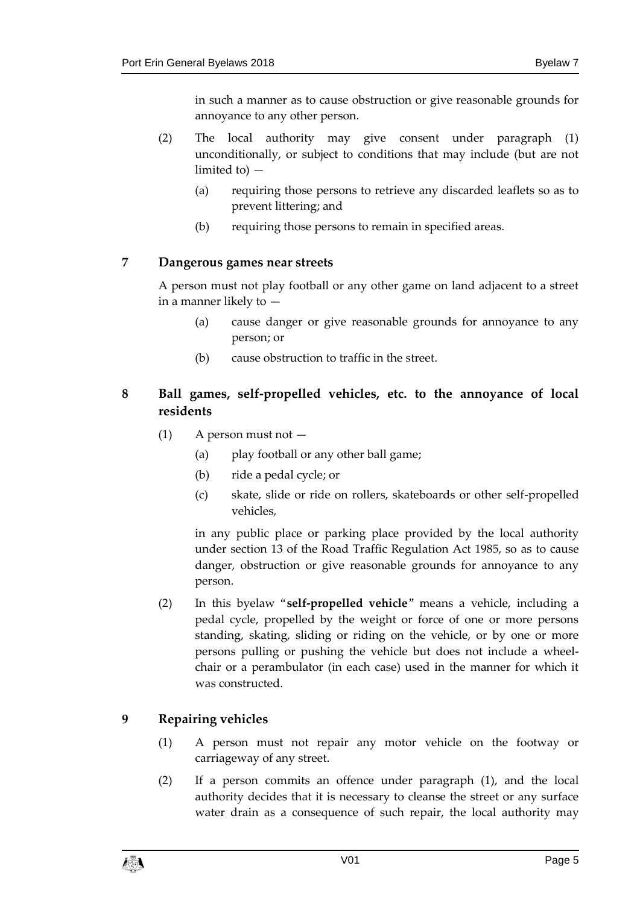in such a manner as to cause obstruction or give reasonable grounds for annoyance to any other person.

- (2) The local authority may give consent under paragraph (1) unconditionally, or subject to conditions that may include (but are not limited to) —
	- (a) requiring those persons to retrieve any discarded leaflets so as to prevent littering; and
	- (b) requiring those persons to remain in specified areas.

## <span id="page-4-0"></span>**7 Dangerous games near streets**

A person must not play football or any other game on land adjacent to a street in a manner likely to —

- (a) cause danger or give reasonable grounds for annoyance to any person; or
- (b) cause obstruction to traffic in the street.

## <span id="page-4-1"></span>**8 Ball games, self-propelled vehicles, etc. to the annoyance of local residents**

- $(1)$  A person must not  $-$ 
	- (a) play football or any other ball game;
	- (b) ride a pedal cycle; or
	- (c) skate, slide or ride on rollers, skateboards or other self-propelled vehicles,

in any public place or parking place provided by the local authority under section 13 of the Road Traffic Regulation Act 1985, so as to cause danger, obstruction or give reasonable grounds for annoyance to any person.

(2) In this byelaw "**self-propelled vehicle**" means a vehicle, including a pedal cycle, propelled by the weight or force of one or more persons standing, skating, sliding or riding on the vehicle, or by one or more persons pulling or pushing the vehicle but does not include a wheelchair or a perambulator (in each case) used in the manner for which it was constructed.

## <span id="page-4-2"></span>**9 Repairing vehicles**

- (1) A person must not repair any motor vehicle on the footway or carriageway of any street.
- (2) If a person commits an offence under paragraph (1), and the local authority decides that it is necessary to cleanse the street or any surface water drain as a consequence of such repair, the local authority may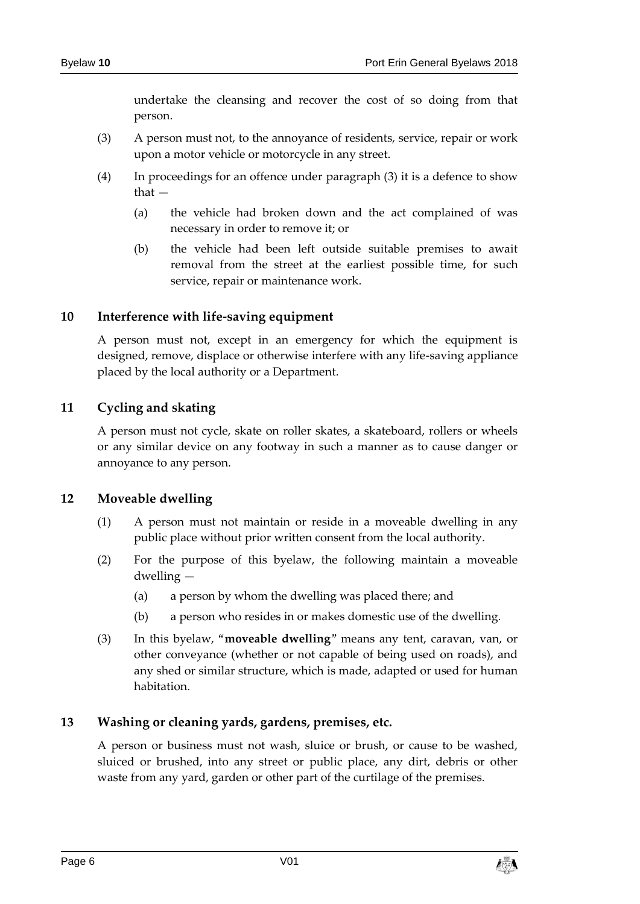undertake the cleansing and recover the cost of so doing from that person.

- (3) A person must not, to the annoyance of residents, service, repair or work upon a motor vehicle or motorcycle in any street.
- (4) In proceedings for an offence under paragraph (3) it is a defence to show that —
	- (a) the vehicle had broken down and the act complained of was necessary in order to remove it; or
	- (b) the vehicle had been left outside suitable premises to await removal from the street at the earliest possible time, for such service, repair or maintenance work.

#### <span id="page-5-0"></span>**10 Interference with life-saving equipment**

A person must not, except in an emergency for which the equipment is designed, remove, displace or otherwise interfere with any life-saving appliance placed by the local authority or a Department.

#### <span id="page-5-1"></span>**11 Cycling and skating**

A person must not cycle, skate on roller skates, a skateboard, rollers or wheels or any similar device on any footway in such a manner as to cause danger or annoyance to any person.

#### <span id="page-5-2"></span>**12 Moveable dwelling**

- (1) A person must not maintain or reside in a moveable dwelling in any public place without prior written consent from the local authority.
- (2) For the purpose of this byelaw, the following maintain a moveable dwelling —
	- (a) a person by whom the dwelling was placed there; and
	- (b) a person who resides in or makes domestic use of the dwelling.
- (3) In this byelaw, "**moveable dwelling**" means any tent, caravan, van, or other conveyance (whether or not capable of being used on roads), and any shed or similar structure, which is made, adapted or used for human habitation.

#### <span id="page-5-3"></span>**13 Washing or cleaning yards, gardens, premises, etc.**

A person or business must not wash, sluice or brush, or cause to be washed, sluiced or brushed, into any street or public place, any dirt, debris or other waste from any yard, garden or other part of the curtilage of the premises.

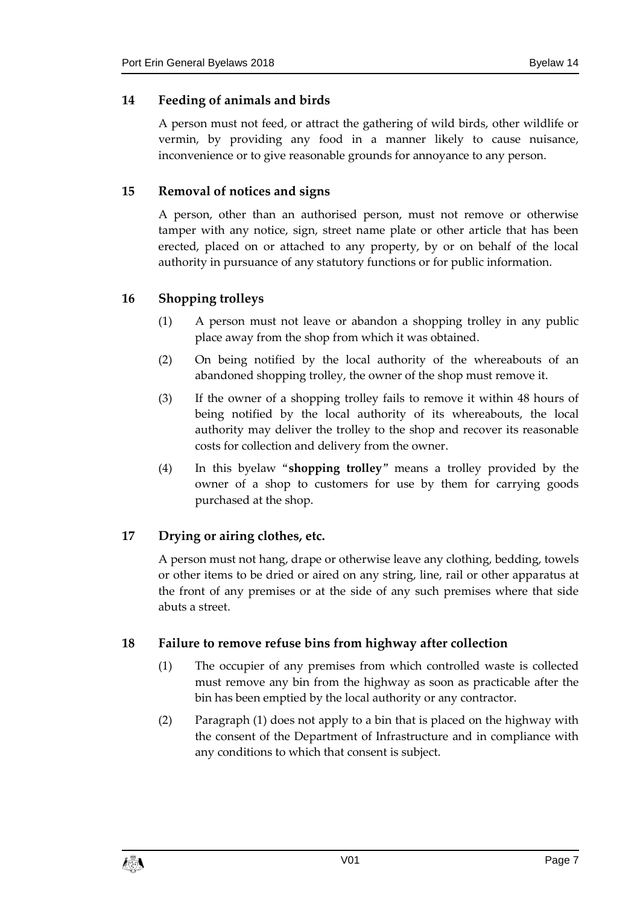## <span id="page-6-0"></span>**14 Feeding of animals and birds**

A person must not feed, or attract the gathering of wild birds, other wildlife or vermin, by providing any food in a manner likely to cause nuisance, inconvenience or to give reasonable grounds for annoyance to any person.

## <span id="page-6-1"></span>**15 Removal of notices and signs**

A person, other than an authorised person, must not remove or otherwise tamper with any notice, sign, street name plate or other article that has been erected, placed on or attached to any property, by or on behalf of the local authority in pursuance of any statutory functions or for public information.

## <span id="page-6-2"></span>**16 Shopping trolleys**

- (1) A person must not leave or abandon a shopping trolley in any public place away from the shop from which it was obtained.
- (2) On being notified by the local authority of the whereabouts of an abandoned shopping trolley, the owner of the shop must remove it.
- (3) If the owner of a shopping trolley fails to remove it within 48 hours of being notified by the local authority of its whereabouts, the local authority may deliver the trolley to the shop and recover its reasonable costs for collection and delivery from the owner.
- (4) In this byelaw "**shopping trolley**" means a trolley provided by the owner of a shop to customers for use by them for carrying goods purchased at the shop.

## <span id="page-6-3"></span>**17 Drying or airing clothes, etc.**

A person must not hang, drape or otherwise leave any clothing, bedding, towels or other items to be dried or aired on any string, line, rail or other apparatus at the front of any premises or at the side of any such premises where that side abuts a street.

## <span id="page-6-4"></span>**18 Failure to remove refuse bins from highway after collection**

- (1) The occupier of any premises from which controlled waste is collected must remove any bin from the highway as soon as practicable after the bin has been emptied by the local authority or any contractor.
- (2) Paragraph (1) does not apply to a bin that is placed on the highway with the consent of the Department of Infrastructure and in compliance with any conditions to which that consent is subject.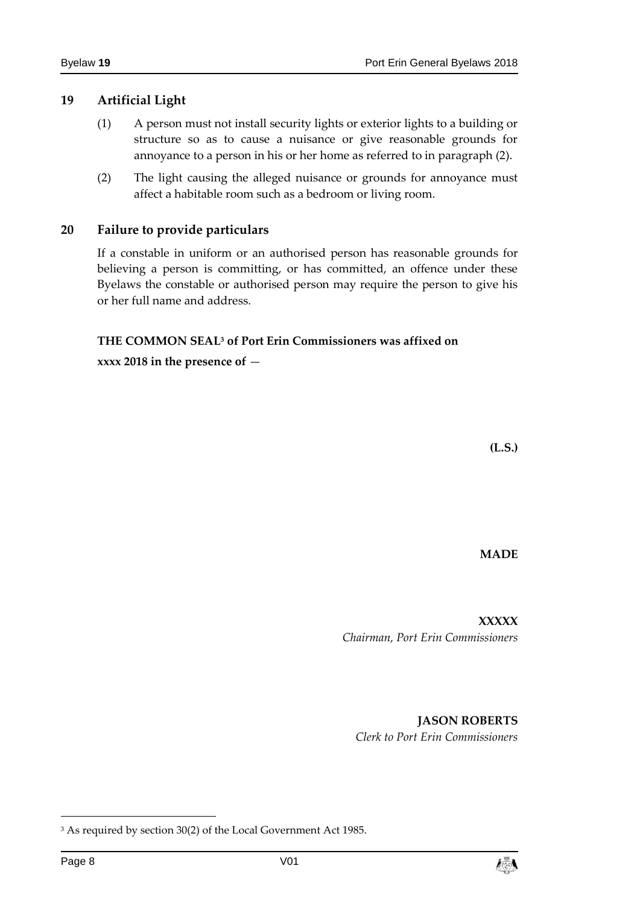#### <span id="page-7-0"></span>**19 Artificial Light**

- (1) A person must not install security lights or exterior lights to a building or structure so as to cause a nuisance or give reasonable grounds for annoyance to a person in his or her home as referred to in paragraph (2).
- (2) The light causing the alleged nuisance or grounds for annoyance must affect a habitable room such as a bedroom or living room.

#### <span id="page-7-1"></span>**20 Failure to provide particulars**

If a constable in uniform or an authorised person has reasonable grounds for believing a person is committing, or has committed, an offence under these Byelaws the constable or authorised person may require the person to give his or her full name and address.

## **THE COMMON SEAL<sup>3</sup> of Port Erin Commissioners was affixed on**

**xxxx 2018 in the presence of** —

**(L.S.)**

**MADE**

**XXXXX** *Chairman, Port Erin Commissioners*

**JASON ROBERTS** *Clerk to Port Erin Commissioners*

-



<sup>&</sup>lt;sup>3</sup> As required by section 30(2) of the Local Government Act 1985.